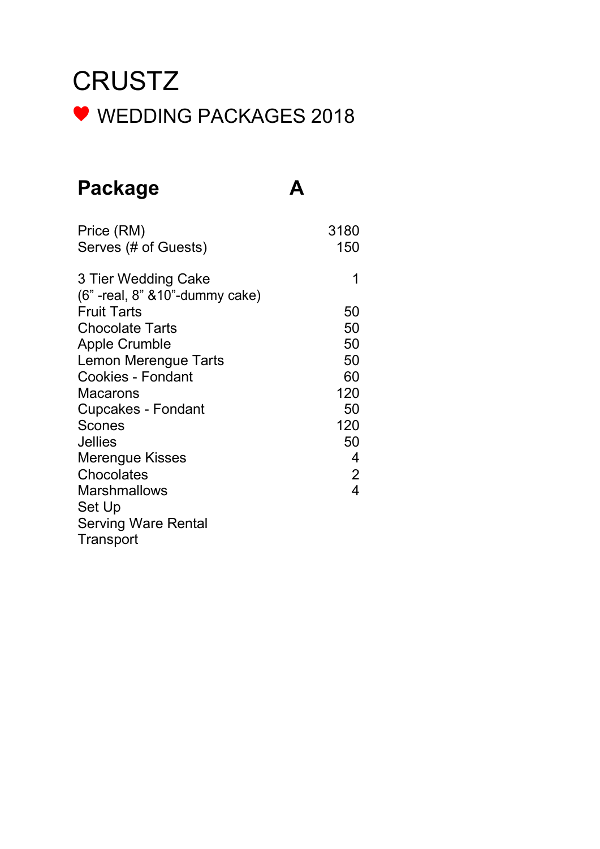### Package A

| Price (RM)                         | 3180           |
|------------------------------------|----------------|
| Serves (# of Guests)               | 150            |
| 3 Tier Wedding Cake                |                |
| (6" - real, 8" & 10" - dummy cake) |                |
| <b>Fruit Tarts</b>                 | 50             |
| <b>Chocolate Tarts</b>             | 50             |
| <b>Apple Crumble</b>               | 50             |
| Lemon Merengue Tarts               | 50             |
| <b>Cookies - Fondant</b>           | 60             |
| Macarons                           | 120            |
| <b>Cupcakes - Fondant</b>          | 50             |
| <b>Scones</b>                      | 120            |
| <b>Jellies</b>                     | 50             |
| Merengue Kisses                    | 4              |
| Chocolates                         | $\overline{2}$ |
| <b>Marshmallows</b>                | 4              |
| Set Up                             |                |
| <b>Serving Ware Rental</b>         |                |
| Transport                          |                |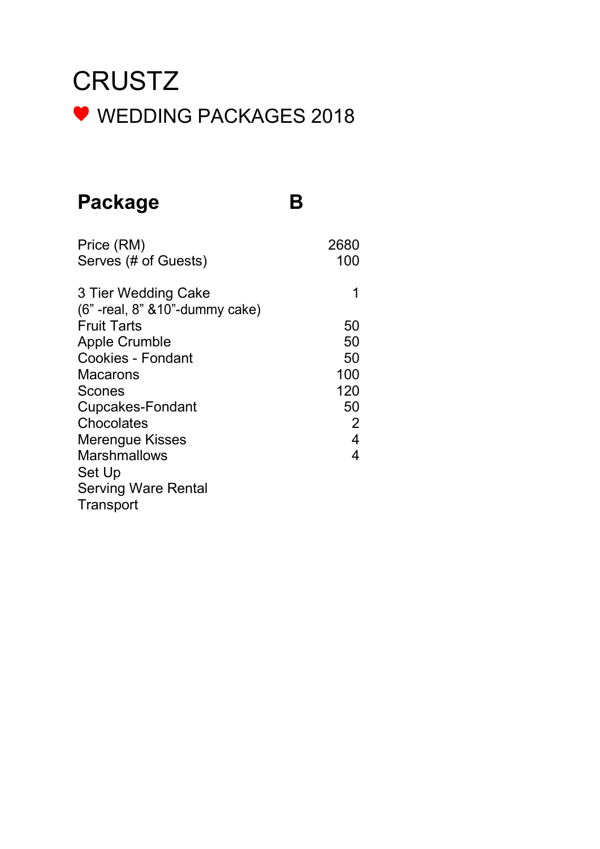### Package B

| Price (RM)<br>Serves (# of Guests)                        | 2680<br>100 |
|-----------------------------------------------------------|-------------|
| 3 Tier Wedding Cake<br>(6" - real, 8" & 10" - dummy cake) | 1           |
| <b>Fruit Tarts</b>                                        | 50          |
| <b>Apple Crumble</b>                                      | 50          |
| <b>Cookies - Fondant</b>                                  | 50          |
| Macarons                                                  | 100         |
| <b>Scones</b>                                             | 120         |
| <b>Cupcakes-Fondant</b>                                   | 50          |
| Chocolates                                                | 2           |
| <b>Merengue Kisses</b>                                    | 4           |
| <b>Marshmallows</b>                                       | 4           |
| Set Up                                                    |             |
| <b>Serving Ware Rental</b>                                |             |
| Transport                                                 |             |
|                                                           |             |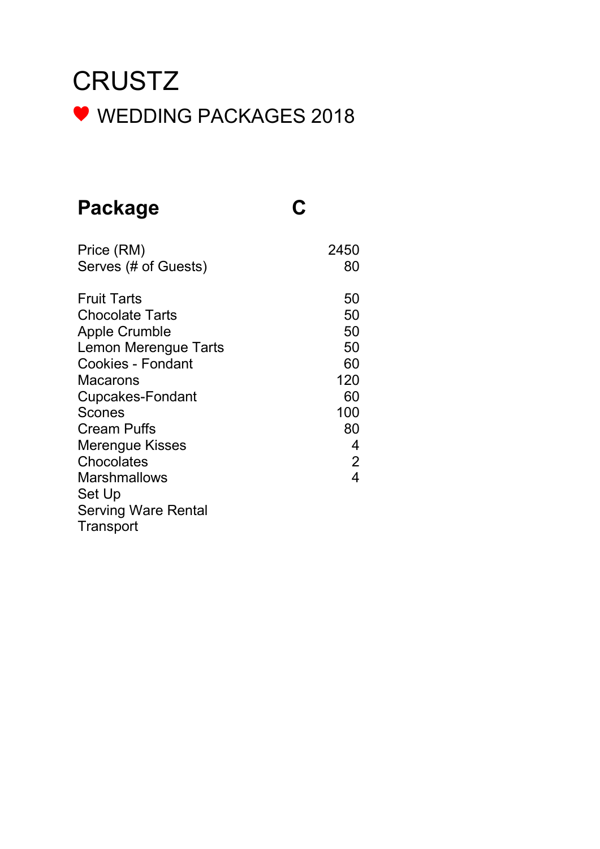### Package C

| Price (RM)                 | 2450                     |
|----------------------------|--------------------------|
| Serves (# of Guests)       | 80                       |
| <b>Fruit Tarts</b>         | 50                       |
| <b>Chocolate Tarts</b>     | 50                       |
| <b>Apple Crumble</b>       | 50                       |
| Lemon Merengue Tarts       | 50                       |
| <b>Cookies - Fondant</b>   | 60                       |
| Macarons                   | 120                      |
| <b>Cupcakes-Fondant</b>    | 60                       |
| Scones                     | 100                      |
| <b>Cream Puffs</b>         | 80                       |
| Merengue Kisses            | 4                        |
| Chocolates                 | $\overline{2}$           |
| <b>Marshmallows</b>        | $\overline{\mathcal{L}}$ |
| Set Up                     |                          |
| <b>Serving Ware Rental</b> |                          |
| Transport                  |                          |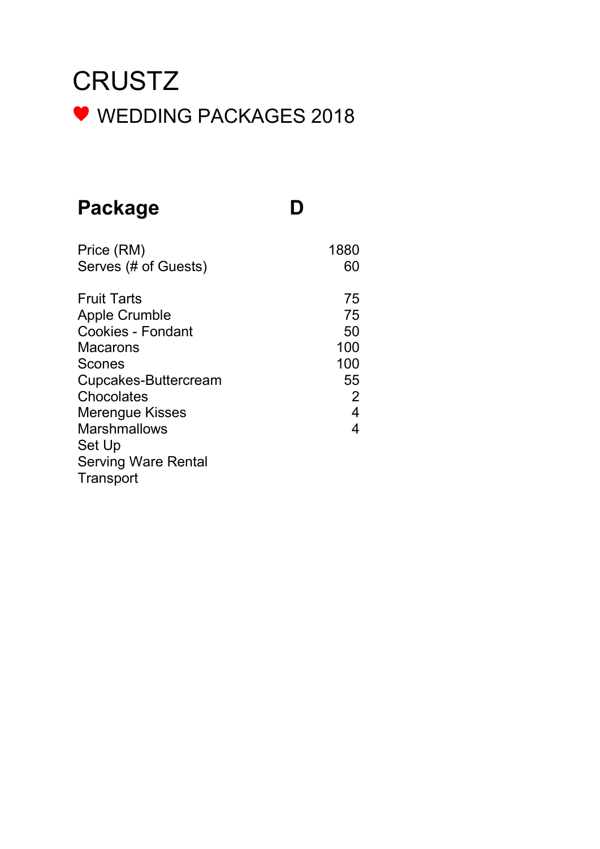#### Package D

| Price (RM)                 | 1880 |
|----------------------------|------|
| Serves (# of Guests)       | 60   |
| <b>Fruit Tarts</b>         | 75   |
| <b>Apple Crumble</b>       | 75   |
| <b>Cookies - Fondant</b>   | 50   |
| Macarons                   | 100  |
| Scones                     | 100  |
| Cupcakes-Buttercream       | 55   |
| Chocolates                 | 2    |
| <b>Merengue Kisses</b>     | 4    |
| <b>Marshmallows</b>        | 4    |
| Set Up                     |      |
| <b>Serving Ware Rental</b> |      |
| Transport                  |      |
|                            |      |